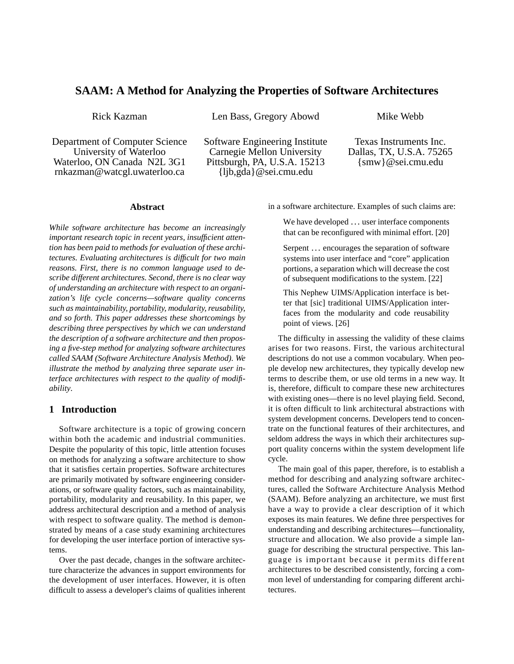# **SAAM: A Method for Analyzing the Properties of Software Architectures**

Rick Kazman

Department of Computer Science University of Waterloo Waterloo, ON Canada N2L 3G1 rnkazman@watcgl.uwaterloo.ca

Len Bass, Gregory Abowd

Software Engineering Institute Carnegie Mellon University Pittsburgh, PA, U.S.A. 15213 {ljb,gda}@sei.cmu.edu

Mike Webb

Texas Instruments Inc. Dallas, TX, U.S.A. 75265 {smw}@sei.cmu.edu

### **Abstract**

*While software architecture has become an increasingly important research topic in recent years, insufficient attention has been paid to methods for evaluation of these architectures. Evaluating architectures is difficult for two main reasons. First, there is no common language used to describe different architectures. Second, there is no clear way of understanding an architecture with respect to an organization's life cycle concerns—software quality concerns such as maintainability, portability, modularity, reusability, and so forth. This paper addresses these shortcomings by describing three perspectives by which we can understand the description of a software architecture and then proposing a five-step method for analyzing software architectures called SAAM (Software Architecture Analysis Method). We illustrate the method by analyzing three separate user interface architectures with respect to the quality of modifiability*.

### **1 Introduction**

Software architecture is a topic of growing concern within both the academic and industrial communities. Despite the popularity of this topic, little attention focuses on methods for analyzing a software architecture to show that it satisfies certain properties. Software architectures are primarily motivated by software engineering considerations, or software quality factors, such as maintainability, portability, modularity and reusability. In this paper, we address architectural description and a method of analysis with respect to software quality. The method is demonstrated by means of a case study examining architectures for developing the user interface portion of interactive systems.

Over the past decade, changes in the software architecture characterize the advances in support environments for the development of user interfaces. However, it is often difficult to assess a developer's claims of qualities inherent in a software architecture. Examples of such claims are:

We have developed  $\dots$  user interface components that can be reconfigured with minimal effort. [20]

Serpent … encourages the separation of software systems into user interface and "core" application portions, a separation which will decrease the cost of subsequent modifications to the system. [22]

This Nephew UIMS/Application interface is better that [sic] traditional UIMS/Application interfaces from the modularity and code reusability point of views. [26]

The difficulty in assessing the validity of these claims arises for two reasons. First, the various architectural descriptions do not use a common vocabulary. When people develop new architectures, they typically develop new terms to describe them, or use old terms in a new way. It is, therefore, difficult to compare these new architectures with existing ones—there is no level playing field. Second, it is often difficult to link architectural abstractions with system development concerns. Developers tend to concentrate on the functional features of their architectures, and seldom address the ways in which their architectures support quality concerns within the system development life cycle.

The main goal of this paper, therefore, is to establish a method for describing and analyzing software architectures, called the Software Architecture Analysis Method (SAAM). Before analyzing an architecture, we must first have a way to provide a clear description of it which exposes its main features. We define three perspectives for understanding and describing architectures—functionality, structure and allocation. We also provide a simple language for describing the structural perspective. This language is important because it permits different architectures to be described consistently, forcing a common level of understanding for comparing different architectures.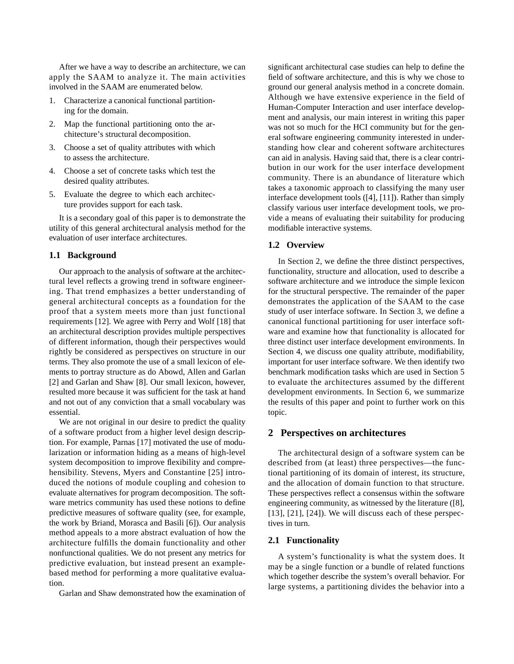After we have a way to describe an architecture, we can apply the SAAM to analyze it. The main activities involved in the SAAM are enumerated below.

- 1. Characterize a canonical functional partitioning for the domain.
- 2. Map the functional partitioning onto the architecture's structural decomposition.
- 3. Choose a set of quality attributes with which to assess the architecture.
- 4. Choose a set of concrete tasks which test the desired quality attributes.
- 5. Evaluate the degree to which each architecture provides support for each task.

It is a secondary goal of this paper is to demonstrate the utility of this general architectural analysis method for the evaluation of user interface architectures.

## **1.1 Background**

Our approach to the analysis of software at the architectural level reflects a growing trend in software engineering. That trend emphasizes a better understanding of general architectural concepts as a foundation for the proof that a system meets more than just functional requirements [12]. We agree with Perry and Wolf [18] that an architectural description provides multiple perspectives of different information, though their perspectives would rightly be considered as perspectives on structure in our terms. They also promote the use of a small lexicon of elements to portray structure as do Abowd, Allen and Garlan [2] and Garlan and Shaw [8]. Our small lexicon, however, resulted more because it was sufficient for the task at hand and not out of any conviction that a small vocabulary was essential.

We are not original in our desire to predict the quality of a software product from a higher level design description. For example, Parnas [17] motivated the use of modularization or information hiding as a means of high-level system decomposition to improve flexibility and comprehensibility. Stevens, Myers and Constantine [25] introduced the notions of module coupling and cohesion to evaluate alternatives for program decomposition. The software metrics community has used these notions to define predictive measures of software quality (see, for example, the work by Briand, Morasca and Basili [6]). Our analysis method appeals to a more abstract evaluation of how the architecture fulfills the domain functionality and other nonfunctional qualities. We do not present any metrics for predictive evaluation, but instead present an examplebased method for performing a more qualitative evaluation.

Garlan and Shaw demonstrated how the examination of

significant architectural case studies can help to define the field of software architecture, and this is why we chose to ground our general analysis method in a concrete domain. Although we have extensive experience in the field of Human-Computer Interaction and user interface development and analysis, our main interest in writing this paper was not so much for the HCI community but for the general software engineering community interested in understanding how clear and coherent software architectures can aid in analysis. Having said that, there is a clear contribution in our work for the user interface development community. There is an abundance of literature which takes a taxonomic approach to classifying the many user interface development tools ([4], [11]). Rather than simply classify various user interface development tools, we provide a means of evaluating their suitability for producing modifiable interactive systems.

### **1.2 Overview**

In Section 2, we define the three distinct perspectives, functionality, structure and allocation, used to describe a software architecture and we introduce the simple lexicon for the structural perspective. The remainder of the paper demonstrates the application of the SAAM to the case study of user interface software. In Section 3, we define a canonical functional partitioning for user interface software and examine how that functionality is allocated for three distinct user interface development environments. In Section 4, we discuss one quality attribute, modifiability, important for user interface software. We then identify two benchmark modification tasks which are used in Section 5 to evaluate the architectures assumed by the different development environments. In Section 6, we summarize the results of this paper and point to further work on this topic.

#### **2 Perspectives on architectures**

The architectural design of a software system can be described from (at least) three perspectives—the functional partitioning of its domain of interest, its structure, and the allocation of domain function to that structure. These perspectives reflect a consensus within the software engineering community, as witnessed by the literature ([8],  $[13]$ ,  $[21]$ ,  $[24]$ ). We will discuss each of these perspectives in turn.

## **2.1 Functionality**

A system's functionality is what the system does. It may be a single function or a bundle of related functions which together describe the system's overall behavior. For large systems, a partitioning divides the behavior into a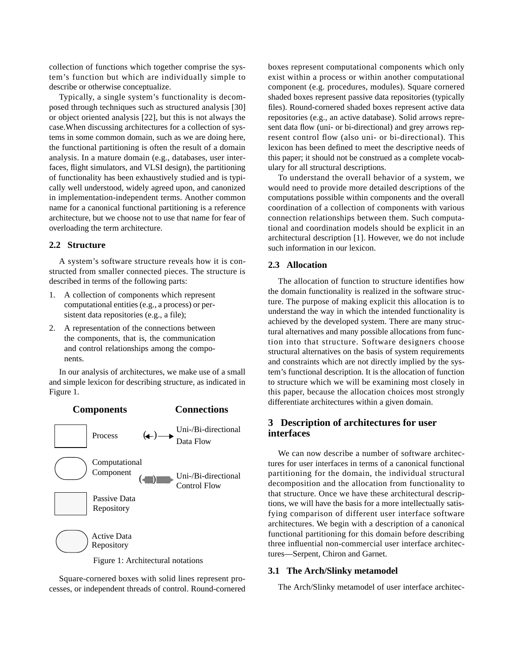collection of functions which together comprise the system's function but which are individually simple to describe or otherwise conceptualize.

Typically, a single system's functionality is decomposed through techniques such as structured analysis [30] or object oriented analysis [22], but this is not always the case.When discussing architectures for a collection of systems in some common domain, such as we are doing here, the functional partitioning is often the result of a domain analysis. In a mature domain (e.g., databases, user interfaces, flight simulators, and VLSI design), the partitioning of functionality has been exhaustively studied and is typically well understood, widely agreed upon, and canonized in implementation-independent terms. Another common name for a canonical functional partitioning is a reference architecture, but we choose not to use that name for fear of overloading the term architecture.

### **2.2 Structure**

A system's software structure reveals how it is constructed from smaller connected pieces. The structure is described in terms of the following parts:

- 1. A collection of components which represent computational entities (e.g., a process) or persistent data repositories (e.g., a file);
- 2. A representation of the connections between the components, that is, the communication and control relationships among the components.

In our analysis of architectures, we make use of a small and simple lexicon for describing structure, as indicated in Figure 1.



Square-cornered boxes with solid lines represent processes, or independent threads of control. Round-cornered

boxes represent computational components which only exist within a process or within another computational component (e.g. procedures, modules). Square cornered shaded boxes represent passive data repositories (typically files). Round-cornered shaded boxes represent active data repositories (e.g., an active database). Solid arrows represent data flow (uni- or bi-directional) and grey arrows represent control flow (also uni- or bi-directional). This lexicon has been defined to meet the descriptive needs of this paper; it should not be construed as a complete vocabulary for all structural descriptions.

To understand the overall behavior of a system, we would need to provide more detailed descriptions of the computations possible within components and the overall coordination of a collection of components with various connection relationships between them. Such computational and coordination models should be explicit in an architectural description [1]. However, we do not include such information in our lexicon.

#### **2.3 Allocation**

The allocation of function to structure identifies how the domain functionality is realized in the software structure. The purpose of making explicit this allocation is to understand the way in which the intended functionality is achieved by the developed system. There are many structural alternatives and many possible allocations from function into that structure. Software designers choose structural alternatives on the basis of system requirements and constraints which are not directly implied by the system's functional description. It is the allocation of function to structure which we will be examining most closely in this paper, because the allocation choices most strongly differentiate architectures within a given domain.

## **3 Description of architectures for user interfaces**

We can now describe a number of software architectures for user interfaces in terms of a canonical functional partitioning for the domain, the individual structural decomposition and the allocation from functionality to that structure. Once we have these architectural descriptions, we will have the basis for a more intellectually satisfying comparison of different user interface software architectures. We begin with a description of a canonical functional partitioning for this domain before describing three influential non-commercial user interface architectures—Serpent, Chiron and Garnet.

### **3.1 The Arch/Slinky metamodel**

The Arch/Slinky metamodel of user interface architec-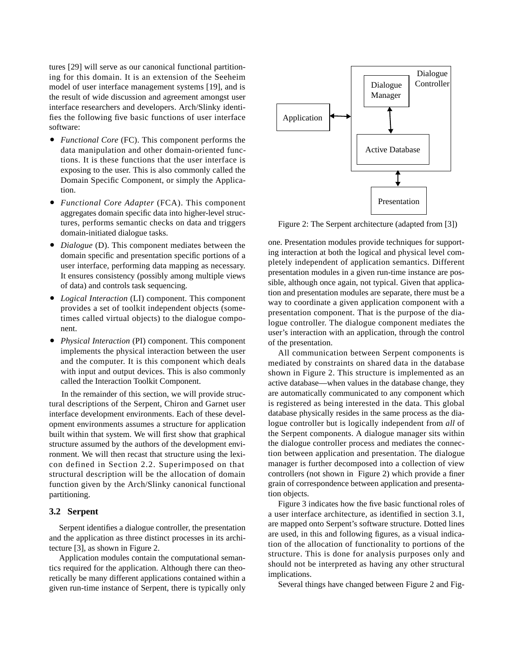tures [29] will serve as our canonical functional partitioning for this domain. It is an extension of the Seeheim model of user interface management systems [19], and is the result of wide discussion and agreement amongst user interface researchers and developers. Arch/Slinky identifies the following five basic functions of user interface software:

- **•** *Functional Core* (FC). This component performs the data manipulation and other domain-oriented functions. It is these functions that the user interface is exposing to the user. This is also commonly called the Domain Specific Component, or simply the Application.
- **•** *Functional Core Adapter* (FCA). This component aggregates domain specific data into higher-level structures, performs semantic checks on data and triggers domain-initiated dialogue tasks.
- **•** *Dialogue* (D). This component mediates between the domain specific and presentation specific portions of a user interface, performing data mapping as necessary. It ensures consistency (possibly among multiple views of data) and controls task sequencing.
- **•** *Logical Interaction* (LI) component. This component provides a set of toolkit independent objects (sometimes called virtual objects) to the dialogue component.
- **•** *Physical Interaction* (PI) component. This component implements the physical interaction between the user and the computer. It is this component which deals with input and output devices. This is also commonly called the Interaction Toolkit Component.

 In the remainder of this section, we will provide structural descriptions of the Serpent, Chiron and Garnet user interface development environments. Each of these development environments assumes a structure for application built within that system. We will first show that graphical structure assumed by the authors of the development environment. We will then recast that structure using the lexicon defined in Section 2.2. Superimposed on that structural description will be the allocation of domain function given by the Arch/Slinky canonical functional partitioning.

### **3.2 Serpent**

Serpent identifies a dialogue controller, the presentation and the application as three distinct processes in its architecture [3], as shown in Figure 2.

Application modules contain the computational semantics required for the application. Although there can theoretically be many different applications contained within a given run-time instance of Serpent, there is typically only



Figure 2: The Serpent architecture (adapted from [3])

one. Presentation modules provide techniques for supporting interaction at both the logical and physical level completely independent of application semantics. Different presentation modules in a given run-time instance are possible, although once again, not typical. Given that application and presentation modules are separate, there must be a way to coordinate a given application component with a presentation component. That is the purpose of the dialogue controller. The dialogue component mediates the user's interaction with an application, through the control of the presentation.

All communication between Serpent components is mediated by constraints on shared data in the database shown in Figure 2. This structure is implemented as an active database—when values in the database change, they are automatically communicated to any component which is registered as being interested in the data. This global database physically resides in the same process as the dialogue controller but is logically independent from *all* of the Serpent components. A dialogue manager sits within the dialogue controller process and mediates the connection between application and presentation. The dialogue manager is further decomposed into a collection of view controllers (not shown in Figure 2) which provide a finer grain of correspondence between application and presentation objects.

Figure 3 indicates how the five basic functional roles of a user interface architecture, as identified in section 3.1, are mapped onto Serpent's software structure. Dotted lines are used, in this and following figures, as a visual indication of the allocation of functionality to portions of the structure. This is done for analysis purposes only and should not be interpreted as having any other structural implications.

Several things have changed between Figure 2 and Fig-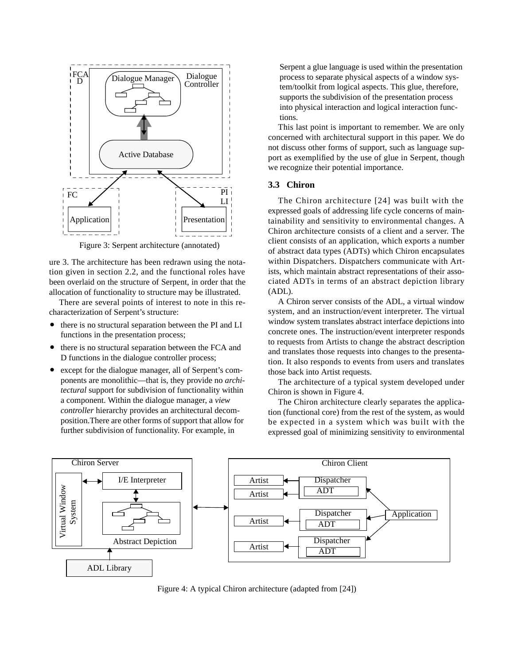

Figure 3: Serpent architecture (annotated)

ure 3. The architecture has been redrawn using the notation given in section 2.2, and the functional roles have been overlaid on the structure of Serpent, in order that the allocation of functionality to structure may be illustrated.

There are several points of interest to note in this recharacterization of Serpent's structure:

- **•** there is no structural separation between the PI and LI functions in the presentation process;
- there is no structural separation between the FCA and D functions in the dialogue controller process;
- **•** except for the dialogue manager, all of Serpent's components are monolithic—that is, they provide no *architectural* support for subdivision of functionality within a component. Within the dialogue manager, a *view controller* hierarchy provides an architectural decomposition.There are other forms of support that allow for further subdivision of functionality. For example, in

Serpent a glue language is used within the presentation process to separate physical aspects of a window system/toolkit from logical aspects. This glue, therefore, supports the subdivision of the presentation process into physical interaction and logical interaction functions.

This last point is important to remember. We are only concerned with architectural support in this paper. We do not discuss other forms of support, such as language support as exemplified by the use of glue in Serpent, though we recognize their potential importance.

## **3.3 Chiron**

The Chiron architecture [24] was built with the expressed goals of addressing life cycle concerns of maintainability and sensitivity to environmental changes. A Chiron architecture consists of a client and a server. The client consists of an application, which exports a number of abstract data types (ADTs) which Chiron encapsulates within Dispatchers. Dispatchers communicate with Artists, which maintain abstract representations of their associated ADTs in terms of an abstract depiction library (ADL).

A Chiron server consists of the ADL, a virtual window system, and an instruction/event interpreter. The virtual window system translates abstract interface depictions into concrete ones. The instruction/event interpreter responds to requests from Artists to change the abstract description and translates those requests into changes to the presentation. It also responds to events from users and translates those back into Artist requests.

The architecture of a typical system developed under Chiron is shown in Figure 4.

The Chiron architecture clearly separates the application (functional core) from the rest of the system, as would be expected in a system which was built with the expressed goal of minimizing sensitivity to environmental



Figure 4: A typical Chiron architecture (adapted from [24])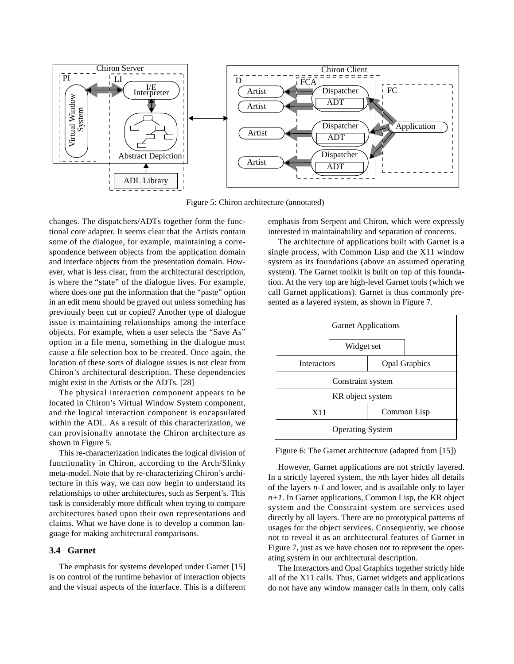

Figure 5: Chiron architecture (annotated)

changes. The dispatchers/ADTs together form the functional core adapter. It seems clear that the Artists contain some of the dialogue, for example, maintaining a correspondence between objects from the application domain and interface objects from the presentation domain. However, what is less clear, from the architectural description, is where the "state" of the dialogue lives. For example, where does one put the information that the "paste" option in an edit menu should be grayed out unless something has previously been cut or copied? Another type of dialogue issue is maintaining relationships among the interface objects. For example, when a user selects the "Save As" option in a file menu, something in the dialogue must cause a file selection box to be created. Once again, the location of these sorts of dialogue issues is not clear from Chiron's architectural description. These dependencies might exist in the Artists or the ADTs. [28]

The physical interaction component appears to be located in Chiron's Virtual Window System component, and the logical interaction component is encapsulated within the ADL. As a result of this characterization, we can provisionally annotate the Chiron architecture as shown in Figure 5.

This re-characterization indicates the logical division of functionality in Chiron, according to the Arch/Slinky meta-model. Note that by re-characterizing Chiron's architecture in this way, we can now begin to understand its relationships to other architectures, such as Serpent's. This task is considerably more difficult when trying to compare architectures based upon their own representations and claims. What we have done is to develop a common language for making architectural comparisons.

#### **3.4 Garnet**

The emphasis for systems developed under Garnet [15] is on control of the runtime behavior of interaction objects and the visual aspects of the interface. This is a different emphasis from Serpent and Chiron, which were expressly interested in maintainability and separation of concerns.

The architecture of applications built with Garnet is a single process, with Common Lisp and the X11 window system as its foundations (above an assumed operating system). The Garnet toolkit is built on top of this foundation. At the very top are high-level Garnet tools (which we call Garnet applications). Garnet is thus commonly presented as a layered system, as shown in Figure 7.



Figure 6: The Garnet architecture (adapted from [15])

However, Garnet applications are not strictly layered. In a strictly layered system, the *n*th layer hides all details of the layers *n-1* and lower, and is available only to layer *n+1*. In Garnet applications, Common Lisp, the KR object system and the Constraint system are services used directly by all layers. There are no prototypical patterns of usages for the object services. Consequently, we choose not to reveal it as an architectural features of Garnet in Figure 7, just as we have chosen not to represent the operating system in our architectural description.

The Interactors and Opal Graphics together strictly hide all of the X11 calls. Thus, Garnet widgets and applications do not have any window manager calls in them, only calls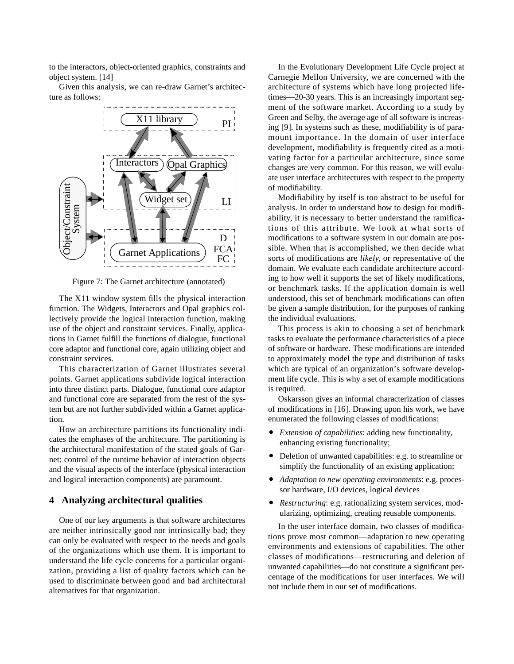to the interactors, object-oriented graphics, constraints and object system. [14]

Given this analysis, we can re-draw Garnet's architecture as follows:



Figure 7: The Garnet architecture (annotated)

The X11 window system fills the physical interaction function. The Widgets, Interactors and Opal graphics collectively provide the logical interaction function, making use of the object and constraint services. Finally, applications in Garnet fulfill the functions of dialogue, functional core adaptor and functional core, again utilizing object and constraint services.

This characterization of Garnet illustrates several points. Garnet applications subdivide logical interaction into three distinct parts. Dialogue, functional core adaptor and functional core are separated from the rest of the system but are not further subdivided within a Garnet application.

How an architecture partitions its functionality indicates the emphases of the architecture. The partitioning is the architectural manifestation of the stated goals of Garnet: control of the runtime behavior of interaction objects and the visual aspects of the interface (physical interaction and logical interaction components) are paramount.

### **4 Analyzing architectural qualities**

One of our key arguments is that software architectures are neither intrinsically good nor intrinsically bad; they can only be evaluated with respect to the needs and goals of the organizations which use them. It is important to understand the life cycle concerns for a particular organization, providing a list of quality factors which can be used to discriminate between good and bad architectural alternatives for that organization.

In the Evolutionary Development Life Cycle project at Carnegie Mellon University, we are concerned with the architecture of systems which have long projected lifetimes—20-30 years. This is an increasingly important segment of the software market. According to a study by Green and Selby, the average age of all software is increasing [9]. In systems such as these, modifiability is of paramount importance. In the domain of user interface development, modifiability is frequently cited as a motivating factor for a particular architecture, since some changes are very common. For this reason, we will evaluate user interface architectures with respect to the property of modifiability.

Modifiability by itself is too abstract to be useful for analysis. In order to understand how to design for modifiability, it is necessary to better understand the ramifications of this attribute. We look at what sorts of modifications to a software system in our domain are possible. When that is accomplished, we then decide what sorts of modifications are *likely*, or representative of the domain. We evaluate each candidate architecture according to how well it supports the set of likely modifications, or benchmark tasks. If the application domain is well understood, this set of benchmark modifications can often be given a sample distribution, for the purposes of ranking the individual evaluations.

This process is akin to choosing a set of benchmark tasks to evaluate the performance characteristics of a piece of software or hardware. These modifications are intended to approximately model the type and distribution of tasks which are typical of an organization's software development life cycle. This is why a set of example modifications is required.

Oskarsson gives an informal characterization of classes of modifications in [16]. Drawing upon his work, we have enumerated the following classes of modifications:

- **•** *Extension of capabilities*: adding new functionality, enhancing existing functionality;
- **•** Deletion of unwanted capabilities: e.g. to streamline or simplify the functionality of an existing application;
- **•** *Adaptation to new operating environments*: e.g. processor hardware, I/O devices, logical devices
- **•** *Restructuring*: e.g. rationalizing system services, modularizing, optimizing, creating reusable components.

In the user interface domain, two classes of modifications prove most common—adaptation to new operating environments and extensions of capabilities. The other classes of modifications—restructuring and deletion of unwanted capabilities—do not constitute a significant percentage of the modifications for user interfaces. We will not include them in our set of modifications.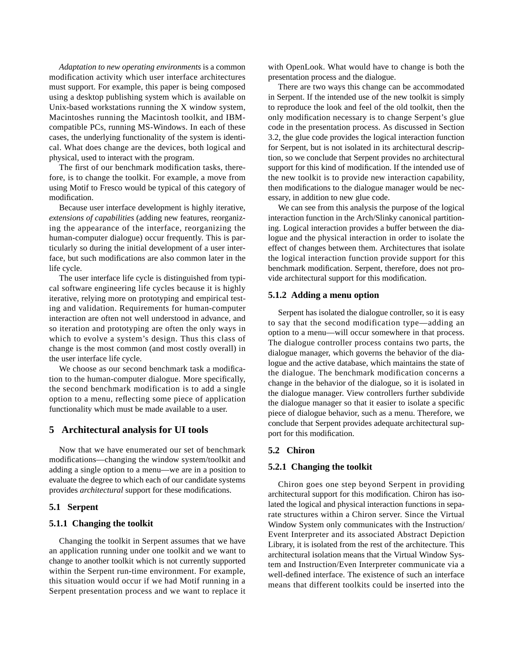*Adaptation to new operating environments* is a common modification activity which user interface architectures must support. For example, this paper is being composed using a desktop publishing system which is available on Unix-based workstations running the X window system, Macintoshes running the Macintosh toolkit, and IBMcompatible PCs, running MS-Windows. In each of these cases, the underlying functionality of the system is identical. What does change are the devices, both logical and physical, used to interact with the program.

The first of our benchmark modification tasks, therefore, is to change the toolkit. For example, a move from using Motif to Fresco would be typical of this category of modification.

Because user interface development is highly iterative, *extensions of capabilities* (adding new features, reorganizing the appearance of the interface, reorganizing the human-computer dialogue) occur frequently. This is particularly so during the initial development of a user interface, but such modifications are also common later in the life cycle.

The user interface life cycle is distinguished from typical software engineering life cycles because it is highly iterative, relying more on prototyping and empirical testing and validation. Requirements for human-computer interaction are often not well understood in advance, and so iteration and prototyping are often the only ways in which to evolve a system's design. Thus this class of change is the most common (and most costly overall) in the user interface life cycle.

We choose as our second benchmark task a modification to the human-computer dialogue. More specifically, the second benchmark modification is to add a single option to a menu, reflecting some piece of application functionality which must be made available to a user.

## **5 Architectural analysis for UI tools**

Now that we have enumerated our set of benchmark modifications—changing the window system/toolkit and adding a single option to a menu—we are in a position to evaluate the degree to which each of our candidate systems provides *architectural* support for these modifications.

## **5.1 Serpent**

### **5.1.1 Changing the toolkit**

Changing the toolkit in Serpent assumes that we have an application running under one toolkit and we want to change to another toolkit which is not currently supported within the Serpent run-time environment. For example, this situation would occur if we had Motif running in a Serpent presentation process and we want to replace it

with OpenLook. What would have to change is both the presentation process and the dialogue.

There are two ways this change can be accommodated in Serpent. If the intended use of the new toolkit is simply to reproduce the look and feel of the old toolkit, then the only modification necessary is to change Serpent's glue code in the presentation process. As discussed in Section 3.2, the glue code provides the logical interaction function for Serpent, but is not isolated in its architectural description, so we conclude that Serpent provides no architectural support for this kind of modification. If the intended use of the new toolkit is to provide new interaction capability, then modifications to the dialogue manager would be necessary, in addition to new glue code.

We can see from this analysis the purpose of the logical interaction function in the Arch/Slinky canonical partitioning. Logical interaction provides a buffer between the dialogue and the physical interaction in order to isolate the effect of changes between them. Architectures that isolate the logical interaction function provide support for this benchmark modification. Serpent, therefore, does not provide architectural support for this modification.

### **5.1.2 Adding a menu option**

Serpent has isolated the dialogue controller, so it is easy to say that the second modification type—adding an option to a menu—will occur somewhere in that process. The dialogue controller process contains two parts, the dialogue manager, which governs the behavior of the dialogue and the active database, which maintains the state of the dialogue. The benchmark modification concerns a change in the behavior of the dialogue, so it is isolated in the dialogue manager. View controllers further subdivide the dialogue manager so that it easier to isolate a specific piece of dialogue behavior, such as a menu. Therefore, we conclude that Serpent provides adequate architectural support for this modification.

### **5.2 Chiron**

#### **5.2.1 Changing the toolkit**

Chiron goes one step beyond Serpent in providing architectural support for this modification. Chiron has isolated the logical and physical interaction functions in separate structures within a Chiron server. Since the Virtual Window System only communicates with the Instruction/ Event Interpreter and its associated Abstract Depiction Library, it is isolated from the rest of the architecture. This architectural isolation means that the Virtual Window System and Instruction/Even Interpreter communicate via a well-defined interface. The existence of such an interface means that different toolkits could be inserted into the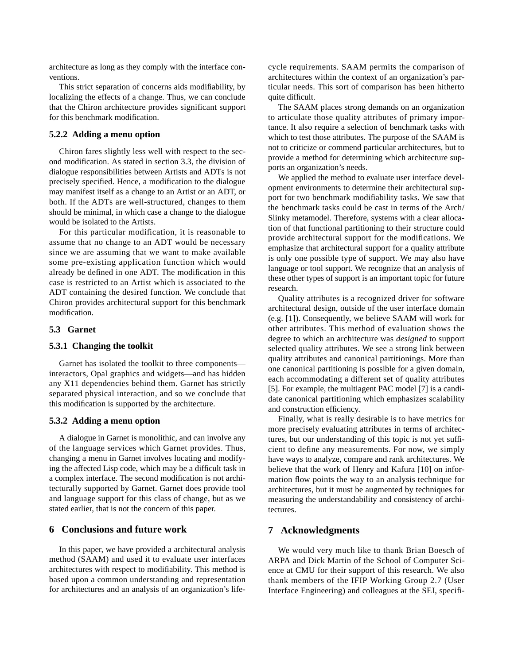architecture as long as they comply with the interface conventions.

This strict separation of concerns aids modifiability, by localizing the effects of a change. Thus, we can conclude that the Chiron architecture provides significant support for this benchmark modification.

#### **5.2.2 Adding a menu option**

Chiron fares slightly less well with respect to the second modification. As stated in section 3.3, the division of dialogue responsibilities between Artists and ADTs is not precisely specified. Hence, a modification to the dialogue may manifest itself as a change to an Artist or an ADT, or both. If the ADTs are well-structured, changes to them should be minimal, in which case a change to the dialogue would be isolated to the Artists.

For this particular modification, it is reasonable to assume that no change to an ADT would be necessary since we are assuming that we want to make available some pre-existing application function which would already be defined in one ADT. The modification in this case is restricted to an Artist which is associated to the ADT containing the desired function. We conclude that Chiron provides architectural support for this benchmark modification.

#### **5.3 Garnet**

### **5.3.1 Changing the toolkit**

Garnet has isolated the toolkit to three components interactors, Opal graphics and widgets—and has hidden any X11 dependencies behind them. Garnet has strictly separated physical interaction, and so we conclude that this modification is supported by the architecture.

### **5.3.2 Adding a menu option**

A dialogue in Garnet is monolithic, and can involve any of the language services which Garnet provides. Thus, changing a menu in Garnet involves locating and modifying the affected Lisp code, which may be a difficult task in a complex interface. The second modification is not architecturally supported by Garnet. Garnet does provide tool and language support for this class of change, but as we stated earlier, that is not the concern of this paper.

### **6 Conclusions and future work**

In this paper, we have provided a architectural analysis method (SAAM) and used it to evaluate user interfaces architectures with respect to modifiability. This method is based upon a common understanding and representation for architectures and an analysis of an organization's lifecycle requirements. SAAM permits the comparison of architectures within the context of an organization's particular needs. This sort of comparison has been hitherto quite difficult.

The SAAM places strong demands on an organization to articulate those quality attributes of primary importance. It also require a selection of benchmark tasks with which to test those attributes. The purpose of the SAAM is not to criticize or commend particular architectures, but to provide a method for determining which architecture supports an organization's needs.

We applied the method to evaluate user interface development environments to determine their architectural support for two benchmark modifiability tasks. We saw that the benchmark tasks could be cast in terms of the Arch/ Slinky metamodel. Therefore, systems with a clear allocation of that functional partitioning to their structure could provide architectural support for the modifications. We emphasize that architectural support for a quality attribute is only one possible type of support. We may also have language or tool support. We recognize that an analysis of these other types of support is an important topic for future research.

Quality attributes is a recognized driver for software architectural design, outside of the user interface domain (e.g. [1]). Consequently, we believe SAAM will work for other attributes. This method of evaluation shows the degree to which an architecture was *designed* to support selected quality attributes. We see a strong link between quality attributes and canonical partitionings. More than one canonical partitioning is possible for a given domain, each accommodating a different set of quality attributes [5]. For example, the multiagent PAC model [7] is a candidate canonical partitioning which emphasizes scalability and construction efficiency.

Finally, what is really desirable is to have metrics for more precisely evaluating attributes in terms of architectures, but our understanding of this topic is not yet sufficient to define any measurements. For now, we simply have ways to analyze, compare and rank architectures. We believe that the work of Henry and Kafura [10] on information flow points the way to an analysis technique for architectures, but it must be augmented by techniques for measuring the understandability and consistency of architectures.

## **7 Acknowledgments**

We would very much like to thank Brian Boesch of ARPA and Dick Martin of the School of Computer Science at CMU for their support of this research. We also thank members of the IFIP Working Group 2.7 (User Interface Engineering) and colleagues at the SEI, specifi